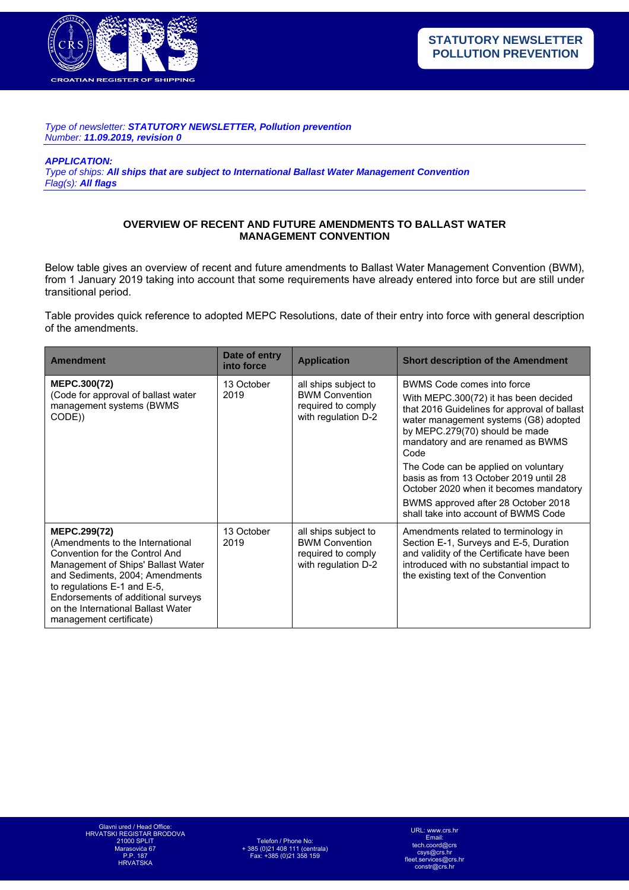

*Type of newsletter: STATUTORY NEWSLETTER, Pollution prevention Number: 11.09.2019, revision 0* 

*APPLICATION:* 

*Type of ships: All ships that are subject to International Ballast Water Management Convention Flag(s): All flags*

## **OVERVIEW OF RECENT AND FUTURE AMENDMENTS TO BALLAST WATER MANAGEMENT CONVENTION**

Below table gives an overview of recent and future amendments to Ballast Water Management Convention (BWM), from 1 January 2019 taking into account that some requirements have already entered into force but are still under transitional period.

Table provides quick reference to adopted MEPC Resolutions, date of their entry into force with general description of the amendments.

| <b>Amendment</b>                                                                                                                                                                                                                                                                                         | Date of entry<br>into force | <b>Application</b>                                                                         | <b>Short description of the Amendment</b>                                                                                                                                                                                                                                                                                                                                                                                                              |
|----------------------------------------------------------------------------------------------------------------------------------------------------------------------------------------------------------------------------------------------------------------------------------------------------------|-----------------------------|--------------------------------------------------------------------------------------------|--------------------------------------------------------------------------------------------------------------------------------------------------------------------------------------------------------------------------------------------------------------------------------------------------------------------------------------------------------------------------------------------------------------------------------------------------------|
| <b>MEPC.300(72)</b><br>(Code for approval of ballast water<br>management systems (BWMS)<br>CODE))                                                                                                                                                                                                        | 13 October<br>2019          | all ships subject to<br><b>BWM Convention</b><br>required to comply<br>with regulation D-2 | BWMS Code comes into force<br>With MEPC.300(72) it has been decided<br>that 2016 Guidelines for approval of ballast<br>water management systems (G8) adopted<br>by MEPC.279(70) should be made<br>mandatory and are renamed as BWMS<br>Code<br>The Code can be applied on voluntary<br>basis as from 13 October 2019 until 28<br>October 2020 when it becomes mandatory<br>BWMS approved after 28 October 2018<br>shall take into account of BWMS Code |
| <b>MEPC.299(72)</b><br>(Amendments to the International<br>Convention for the Control And<br>Management of Ships' Ballast Water<br>and Sediments, 2004; Amendments<br>to regulations E-1 and E-5,<br>Endorsements of additional surveys<br>on the International Ballast Water<br>management certificate) | 13 October<br>2019          | all ships subject to<br><b>BWM Convention</b><br>required to comply<br>with regulation D-2 | Amendments related to terminology in<br>Section E-1, Surveys and E-5, Duration<br>and validity of the Certificate have been<br>introduced with no substantial impact to<br>the existing text of the Convention                                                                                                                                                                                                                                         |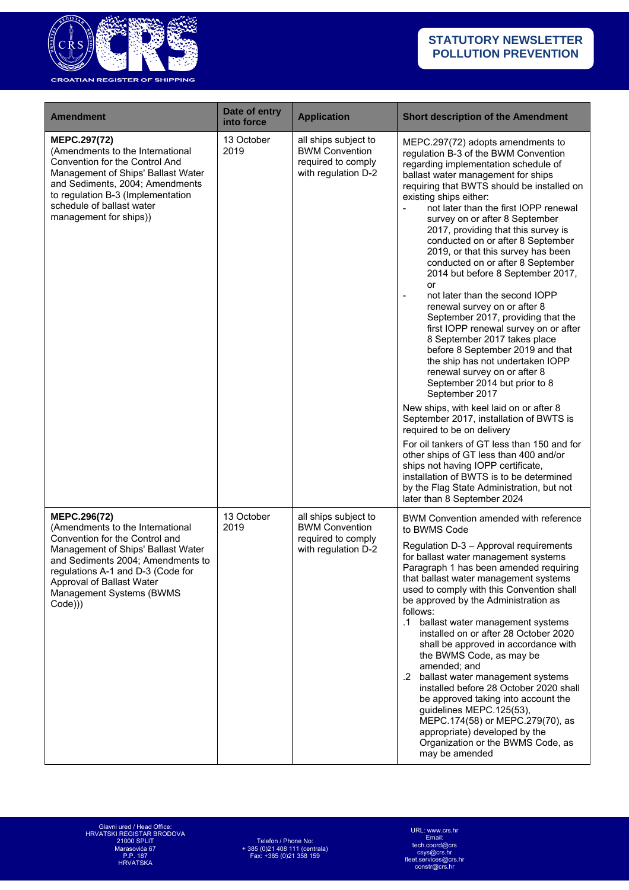

| <b>Amendment</b>                                                                                                                                                                                                                                                         | Date of entry<br>into force | <b>Application</b>                                                                         | <b>Short description of the Amendment</b>                                                                                                                                                                                                                                                                                                                                                                                                                                                                                                                                                                                                                                                                                                                                                                                                                                                                                                                                                                                                                                                                                                                                                                                                             |
|--------------------------------------------------------------------------------------------------------------------------------------------------------------------------------------------------------------------------------------------------------------------------|-----------------------------|--------------------------------------------------------------------------------------------|-------------------------------------------------------------------------------------------------------------------------------------------------------------------------------------------------------------------------------------------------------------------------------------------------------------------------------------------------------------------------------------------------------------------------------------------------------------------------------------------------------------------------------------------------------------------------------------------------------------------------------------------------------------------------------------------------------------------------------------------------------------------------------------------------------------------------------------------------------------------------------------------------------------------------------------------------------------------------------------------------------------------------------------------------------------------------------------------------------------------------------------------------------------------------------------------------------------------------------------------------------|
| MEPC.297(72)<br>(Amendments to the International<br>Convention for the Control And<br>Management of Ships' Ballast Water<br>and Sediments, 2004; Amendments<br>to regulation B-3 (Implementation<br>schedule of ballast water<br>management for ships))                  | 13 October<br>2019          | all ships subject to<br><b>BWM Convention</b><br>required to comply<br>with regulation D-2 | MEPC.297(72) adopts amendments to<br>regulation B-3 of the BWM Convention<br>regarding implementation schedule of<br>ballast water management for ships<br>requiring that BWTS should be installed on<br>existing ships either:<br>not later than the first IOPP renewal<br>survey on or after 8 September<br>2017, providing that this survey is<br>conducted on or after 8 September<br>2019, or that this survey has been<br>conducted on or after 8 September<br>2014 but before 8 September 2017,<br>or<br>not later than the second IOPP<br>$\blacksquare$<br>renewal survey on or after 8<br>September 2017, providing that the<br>first IOPP renewal survey on or after<br>8 September 2017 takes place<br>before 8 September 2019 and that<br>the ship has not undertaken IOPP<br>renewal survey on or after 8<br>September 2014 but prior to 8<br>September 2017<br>New ships, with keel laid on or after 8<br>September 2017, installation of BWTS is<br>required to be on delivery<br>For oil tankers of GT less than 150 and for<br>other ships of GT less than 400 and/or<br>ships not having IOPP certificate,<br>installation of BWTS is to be determined<br>by the Flag State Administration, but not<br>later than 8 September 2024 |
| MEPC.296(72)<br>(Amendments to the International<br>Convention for the Control and<br>Management of Ships' Ballast Water<br>and Sediments 2004; Amendments to<br>regulations A-1 and D-3 (Code for<br>Approval of Ballast Water<br>Management Systems (BWMS<br>$Code$ )) | 13 October<br>2019          | all ships subject to<br><b>BWM Convention</b><br>required to comply<br>with regulation D-2 | BWM Convention amended with reference<br>to BWMS Code<br>Regulation D-3 - Approval requirements<br>for ballast water management systems<br>Paragraph 1 has been amended requiring<br>that ballast water management systems<br>used to comply with this Convention shall<br>be approved by the Administration as<br>follows:<br>.1<br>ballast water management systems<br>installed on or after 28 October 2020<br>shall be approved in accordance with<br>the BWMS Code, as may be<br>amended: and<br>.2 ballast water management systems<br>installed before 28 October 2020 shall<br>be approved taking into account the<br>guidelines MEPC.125(53),<br>MEPC.174(58) or MEPC.279(70), as<br>appropriate) developed by the<br>Organization or the BWMS Code, as<br>may be amended                                                                                                                                                                                                                                                                                                                                                                                                                                                                    |

URL: www.crs.hr Email: tech.coord@crs csys@crs.hr fleet.services@crs.hr constr@crs.hr